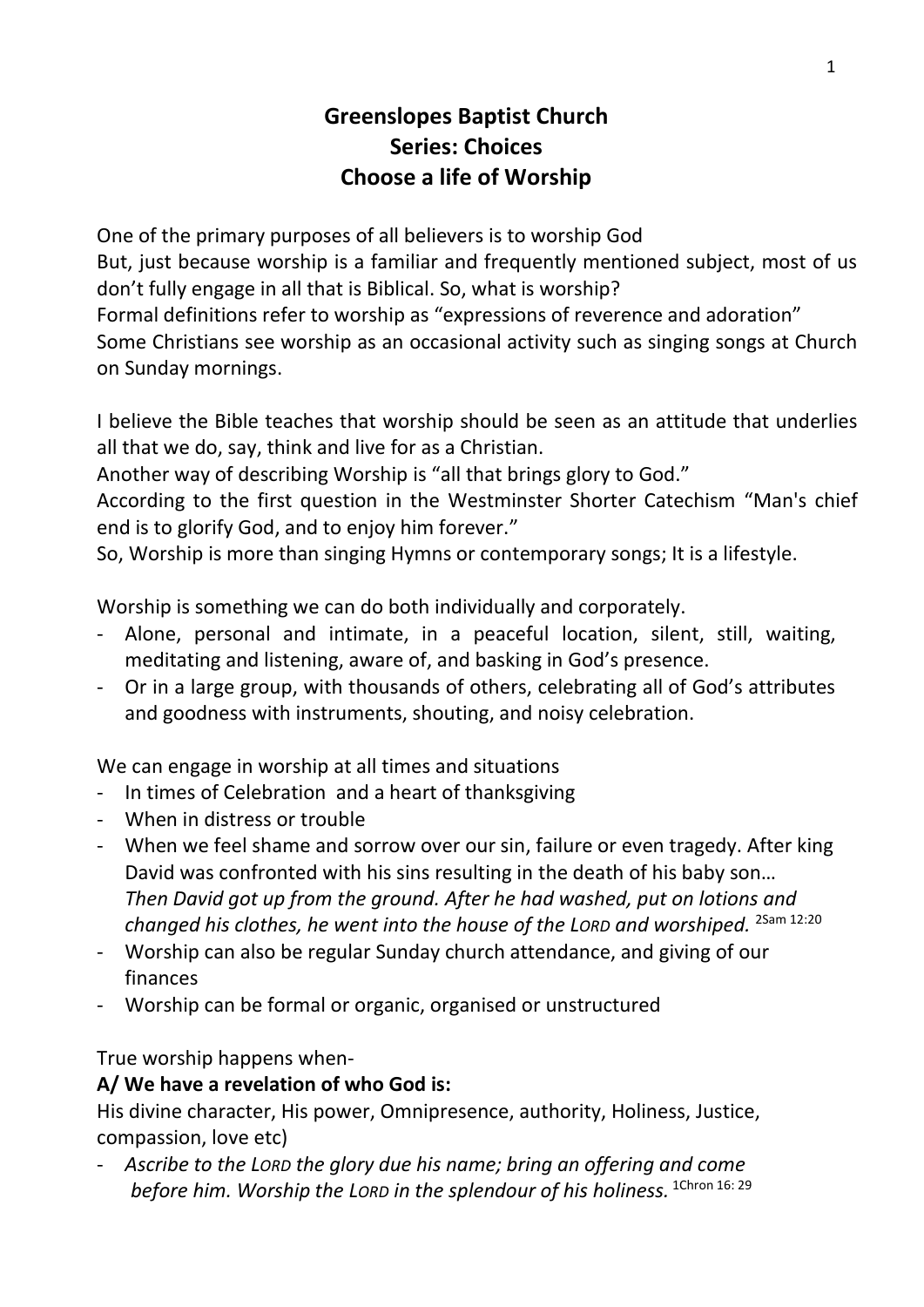# **Greenslopes Baptist Church Series: Choices Choose a life of Worship**

One of the primary purposes of all believers is to worship God But, just because worship is a familiar and frequently mentioned subject, most of us don't fully engage in all that is Biblical. So, what is worship? Formal definitions refer to worship as "expressions of reverence and adoration" Some Christians see worship as an occasional activity such as singing songs at Church on Sunday mornings.

I believe the Bible teaches that worship should be seen as an attitude that underlies all that we do, say, think and live for as a Christian.

Another way of describing Worship is "all that brings glory to God."

According to the first question in the Westminster Shorter Catechism "Man's chief end is to glorify God, and to enjoy him forever."

So, Worship is more than singing Hymns or contemporary songs; It is a lifestyle.

Worship is something we can do both individually and corporately.

- Alone, personal and intimate, in a peaceful location, silent, still, waiting, meditating and listening, aware of, and basking in God's presence.
- Or in a large group, with thousands of others, celebrating all of God's attributes and goodness with instruments, shouting, and noisy celebration.

We can engage in worship at all times and situations

- In times of Celebration and a heart of thanksgiving
- When in distress or trouble
- When we feel shame and sorrow over our sin, failure or even tragedy. After king David was confronted with his sins resulting in the death of his baby son… *Then David got up from the ground. After he had washed, put on lotions and changed his clothes, he went into the house of the LORD and worshiped.* 2Sam 12:20
- Worship can also be regular Sunday church attendance, and giving of our finances
- Worship can be formal or organic, organised or unstructured

True worship happens when-

### **A/ We have a revelation of who God is:**

His divine character, His power, Omnipresence, authority, Holiness, Justice, compassion, love etc)

- *Ascribe to the LORD the glory due his name; bring an offering and come before him. Worship the LORD in the splendour of his holiness.* 1Chron 16: 29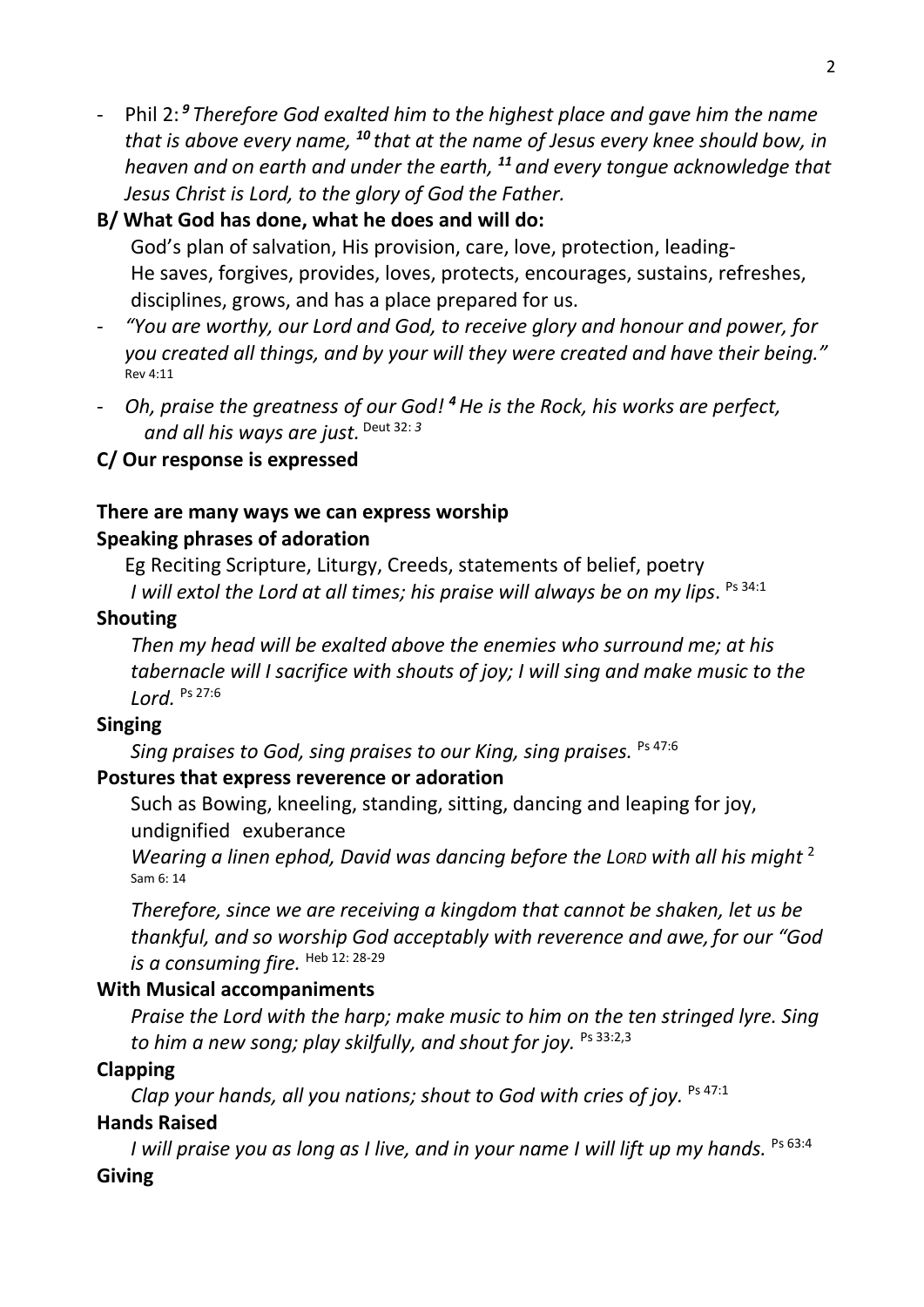- Phil 2: *<sup>9</sup> Therefore God exalted him to the highest place and gave him the name that is above every name, <sup>10</sup> that at the name of Jesus every knee should bow, in heaven and on earth and under the earth, <sup>11</sup> and every tongue acknowledge that Jesus Christ is Lord, to the glory of God the Father.*

### **B/ What God has done, what he does and will do:**

God's plan of salvation, His provision, care, love, protection, leading-He saves, forgives, provides, loves, protects, encourages, sustains, refreshes, disciplines, grows, and has a place prepared for us.

- *"You are worthy, our Lord and God, to receive glory and honour and power, for you created all things, and by your will they were created and have their being."* Rev 4:11
- *Oh, praise the greatness of our God! <sup>4</sup>He is the Rock, his works are perfect, and all his ways are just.* Deut 32: *<sup>3</sup>*

### **C/ Our response is expressed**

#### **There are many ways we can express worship Speaking phrases of adoration**

Eg Reciting Scripture, Liturgy, Creeds, statements of belief, poetry *I will extol the Lord at all times; his praise will always be on my lips*. Ps 34:1

#### **Shouting**

*Then my head will be exalted above the enemies who surround me; at his tabernacle will I sacrifice with shouts of joy; I will sing and make music to the Lord.* Ps 27:6

### **Singing**

*Sing praises to God, sing praises to our King, sing praises.*  Ps 47:6

### **Postures that express reverence or adoration**

Such as Bowing, kneeling, standing, sitting, dancing and leaping for joy, undignified exuberance

*Wearing a linen ephod, David was dancing before the LORD with all his might* <sup>2</sup> Sam 6: 14

*Therefore, since we are receiving a kingdom that cannot be shaken, let us be thankful, and so worship God acceptably with reverence and awe, for our "God is a consuming fire.* Heb 12: 28-29

### **With Musical accompaniments**

*Praise the Lord with the harp; make music to him on the ten stringed lyre. Sing to him a new song; play skilfully, and shout for joy.* Ps 33:2,3

### **Clapping**

*Clap your hands, all you nations; shout to God with cries of joy.* Ps 47:1

### **Hands Raised**

*I* will praise you as long as I live, and in your name I will lift up my hands. Ps 63:4 **Giving**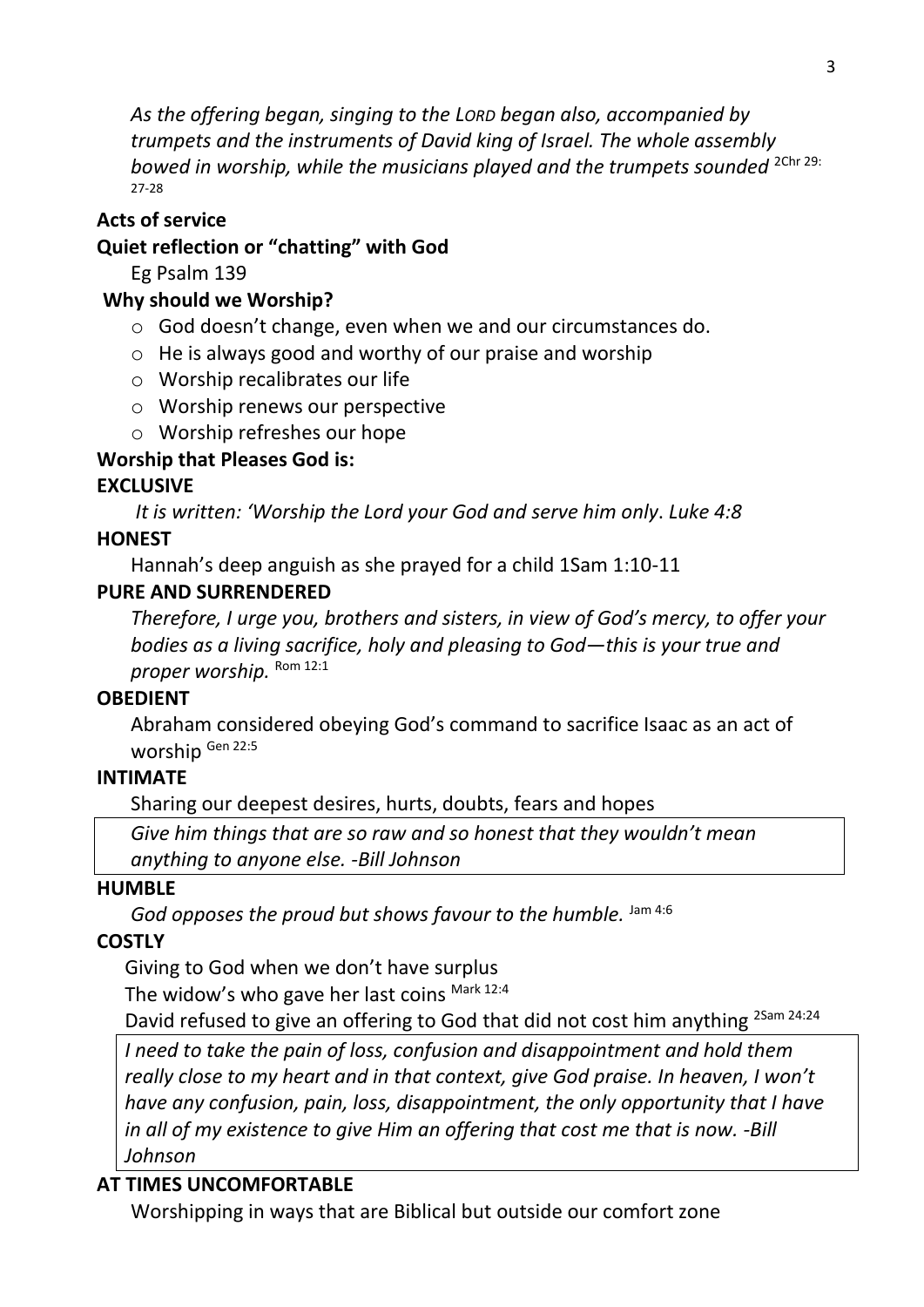*As the offering began, singing to the LORD began also, accompanied by trumpets and the instruments of David king of Israel. The whole assembly*  bowed in worship, while the musicians played and the trumpets sounded <sup>2Chr 29:</sup> 27-28

### **Acts of service**

### **Quiet reflection or "chatting" with God**

Eg Psalm 139

### **Why should we Worship?**

- o God doesn't change, even when we and our circumstances do.
- o He is always good and worthy of our praise and worship
- o Worship recalibrates our life
- o Worship renews our perspective
- o Worship refreshes our hope

## **Worship that Pleases God is:**

## **EXCLUSIVE**

*It is written: 'Worship the Lord your God and serve him only*. *Luke 4:8*

## **HONEST**

Hannah's deep anguish as she prayed for a child 1Sam 1:10-11

### **PURE AND SURRENDERED**

*Therefore, I urge you, brothers and sisters, in view of God's mercy, to offer your bodies as a living sacrifice, holy and pleasing to God—this is your true and*  proper worship. Rom 12:1

## **OBEDIENT**

Abraham considered obeying God's command to sacrifice Isaac as an act of worship Gen 22:5

## **INTIMATE**

Sharing our deepest desires, hurts, doubts, fears and hopes

*Give him things that are so raw and so honest that they wouldn't mean anything to anyone else. -Bill Johnson*

## **HUMBLE**

God opposes the proud but shows favour to the humble. Jam 4:6

## **COSTLY**

Giving to God when we don't have surplus The widow's who gave her last coins Mark 12:4

David refused to give an offering to God that did not cost him anything <sup>2Sam 24:24</sup>

*I need to take the pain of loss, confusion and disappointment and hold them really close to my heart and in that context, give God praise. In heaven, I won't have any confusion, pain, loss, disappointment, the only opportunity that I have in all of my existence to give Him an offering that cost me that is now. -Bill Johnson*

# **AT TIMES UNCOMFORTABLE**

Worshipping in ways that are Biblical but outside our comfort zone